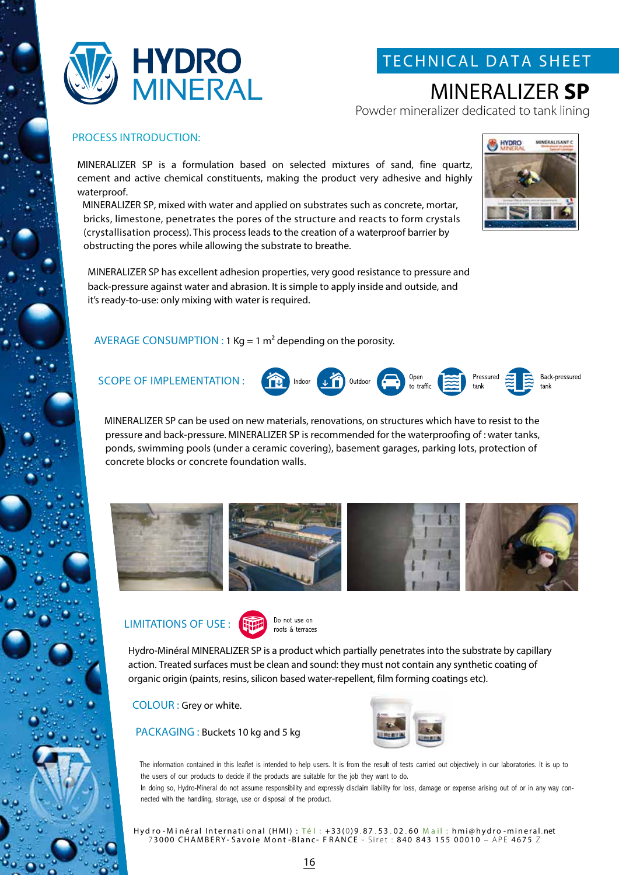

## TECHNICAL DATA SHEET

# MINERALIZER **SP**

Powder mineralizer dedicated to tank lining

### PROCESS INTRODUCTION:

MINERALIZER SP is a formulation based on selected mixtures of sand, fine quartz, cement and active chemical constituents, making the product very adhesive and highly waterproof.

MINERALIZER SP, mixed with water and applied on substrates such as concrete, mortar, bricks, limestone, penetrates the pores of the structure and reacts to form crystals (crystallisation process). This process leads to the creation of a waterproof barrier by obstructing the pores while allowing the substrate to breathe.



MINERALIZER SP has excellent adhesion properties, very good resistance to pressure and back-pressure against water and abrasion. It is simple to apply inside and outside, and it's ready-to-use: only mixing with water is required.

### AVERAGE CONSUMPTION : 1 Kg = 1  $m<sup>2</sup>$  depending on the porosity.



MINERALIZER SP can be used on new materials, renovations, on structures which have to resist to the pressure and back-pressure. MINERALIZER SP is recommended for the waterproofing of : water tanks, ponds, swimming pools (under a ceramic covering), basement garages, parking lots, protection of concrete blocks or concrete foundation walls.



### LIMITATIONS OF USE :



Do not use on roofs & terraces

Hydro-Minéral MINERALIZER SP is a product which partially penetrates into the substrate by capillary action. Treated surfaces must be clean and sound: they must not contain any synthetic coating of organic origin (paints, resins, silicon based water-repellent, film forming coatings etc).

COLOUR : Grey or white.

PACKAGING : Buckets 10 kg and 5 kg



The information contained in this leaflet is intended to help users. It is from the result of tests carried out objectively in our laboratories. It is up to the users of our products to decide if the products are suitable for the job they want to do.

In doing so, Hydro-Mineral do not assume responsibility and expressly disclaim liability for loss, damage or expense arising out of or in any way connected with the handling, storage, use or disposal of the product.

Hyd ro - Minéral International (HMI) : Té l : +33(0)9.87.53.02.60 Mail : hmi@hydro -mineral.net 7 3000 CHAMBERY- Savoie Mont -Blanc- F RANCE - Siret : 840 843 155 00010 – APE 4675 Z